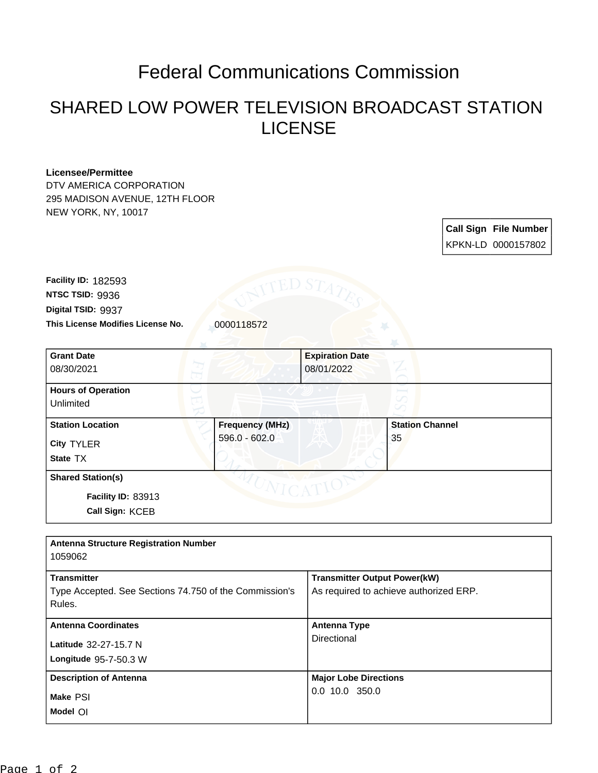## Federal Communications Commission

## SHARED LOW POWER TELEVISION BROADCAST STATION LICENSE

## **Licensee/Permittee**

DTV AMERICA CORPORATION 295 MADISON AVENUE, 12TH FLOOR NEW YORK, NY, 10017

> **Call Sign File Number** KPKN-LD 0000157802

This License Modifies License No. **0000118572 Digital TSID:** 9937 **NTSC TSID:** 9936 **Facility ID:** 182593

| <b>Grant Date</b><br>08/30/2021                                   |                                         | <b>Expiration Date</b><br>08/01/2022 |
|-------------------------------------------------------------------|-----------------------------------------|--------------------------------------|
| <b>Hours of Operation</b><br>Unlimited                            |                                         | ∽                                    |
| <b>Station Location</b><br><b>City TYLER</b><br>State TX          | <b>Frequency (MHz)</b><br>596.0 - 602.0 | <b>Station Channel</b><br>35         |
| <b>Shared Station(s)</b><br>Facility ID: 83913<br>Call Sign: KCEB | $NTC_A^T$                               |                                      |

| <b>Antenna Structure Registration Number</b>                                           |                                                                               |
|----------------------------------------------------------------------------------------|-------------------------------------------------------------------------------|
| 1059062                                                                                |                                                                               |
| <b>Transmitter</b><br>Type Accepted. See Sections 74.750 of the Commission's<br>Rules. | <b>Transmitter Output Power(kW)</b><br>As required to achieve authorized ERP. |
| <b>Antenna Coordinates</b>                                                             | <b>Antenna Type</b>                                                           |
| Latitude 32-27-15.7 N<br>Longitude 95-7-50.3 W                                         | Directional                                                                   |
| <b>Description of Antenna</b>                                                          | <b>Major Lobe Directions</b>                                                  |
| Make PSI<br>Model OI                                                                   | $0.0$ 10.0 350.0                                                              |